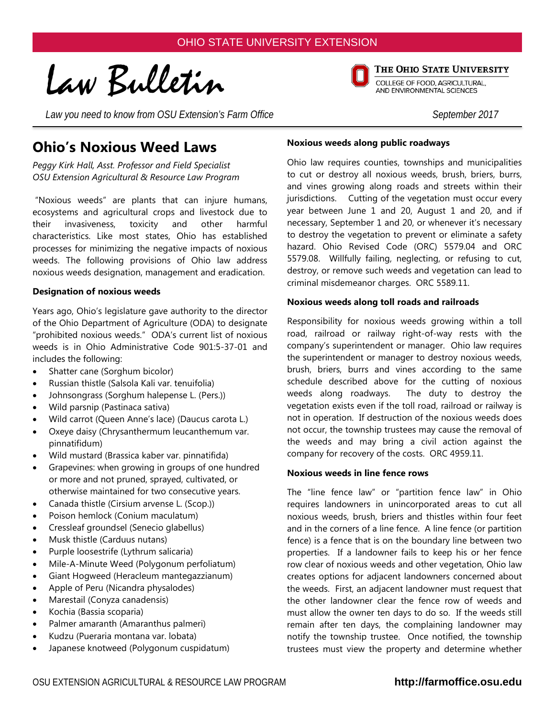Law Bulletin

Law you need to know from OSU Extension's Farm Office September 2017

# **Ohio's Noxious Weed Laws**

*Peggy Kirk Hall, Asst. Professor and Field Specialist OSU Extension Agricultural & Resource Law Program*

"Noxious weeds" are plants that can injure humans, ecosystems and agricultural crops and livestock due to their invasiveness, toxicity and other harmful characteristics. Like most states, Ohio has established processes for minimizing the negative impacts of noxious weeds. The following provisions of Ohio law address noxious weeds designation, management and eradication.

#### **Designation of noxious weeds**

Years ago, Ohio's legislature gave authority to the director of the Ohio Department of Agriculture (ODA) to designate "prohibited noxious weeds." ODA's current list of noxious weeds is in Ohio Administrative Code 901:5-37-01 and includes the following:

- Shatter cane (Sorghum bicolor)
- Russian thistle (Salsola Kali var. tenuifolia)
- Johnsongrass (Sorghum halepense L. (Pers.))
- Wild parsnip (Pastinaca sativa)
- Wild carrot (Queen Anne's lace) (Daucus carota L.)
- Oxeye daisy (Chrysanthermum leucanthemum var. pinnatifidum)
- Wild mustard (Brassica kaber var. pinnatifida)
- Grapevines: when growing in groups of one hundred or more and not pruned, sprayed, cultivated, or otherwise maintained for two consecutive years.
- Canada thistle (Cirsium arvense L. (Scop.))
- Poison hemlock (Conium maculatum)
- Cressleaf groundsel (Senecio glabellus)
- Musk thistle (Carduus nutans)
- Purple loosestrife (Lythrum salicaria)
- Mile-A-Minute Weed (Polygonum perfoliatum)
- Giant Hogweed (Heracleum mantegazzianum)
- Apple of Peru (Nicandra physalodes)
- Marestail (Conyza canadensis)
- Kochia (Bassia scoparia)
- Palmer amaranth (Amaranthus palmeri)
- Kudzu (Pueraria montana var. lobata)
- Japanese knotweed (Polygonum cuspidatum)

### **Noxious weeds along public roadways**

Ohio law requires counties, townships and municipalities to cut or destroy all noxious weeds, brush, briers, burrs, and vines growing along roads and streets within their jurisdictions. Cutting of the vegetation must occur every year between June 1 and 20, August 1 and 20, and if necessary, September 1 and 20, or whenever it's necessary to destroy the vegetation to prevent or eliminate a safety hazard. Ohio Revised Code (ORC) 5579.04 and ORC 5579.08. Willfully failing, neglecting, or refusing to cut, destroy, or remove such weeds and vegetation can lead to criminal misdemeanor charges. ORC 5589.11.

#### **Noxious weeds along toll roads and railroads**

Responsibility for noxious weeds growing within a toll road, railroad or railway right-of-way rests with the company's superintendent or manager. Ohio law requires the superintendent or manager to destroy noxious weeds, brush, briers, burrs and vines according to the same schedule described above for the cutting of noxious weeds along roadways. The duty to destroy the vegetation exists even if the toll road, railroad or railway is not in operation. If destruction of the noxious weeds does not occur, the township trustees may cause the removal of the weeds and may bring a civil action against the company for recovery of the costs. ORC 4959.11.

#### **Noxious weeds in line fence rows**

The "line fence law" or "partition fence law" in Ohio requires landowners in unincorporated areas to cut all noxious weeds, brush, briers and thistles within four feet and in the corners of a line fence. A line fence (or partition fence) is a fence that is on the boundary line between two properties. If a landowner fails to keep his or her fence row clear of noxious weeds and other vegetation, Ohio law creates options for adjacent landowners concerned about the weeds. First, an adjacent landowner must request that the other landowner clear the fence row of weeds and must allow the owner ten days to do so. If the weeds still remain after ten days, the complaining landowner may notify the township trustee. Once notified, the township trustees must view the property and determine whether